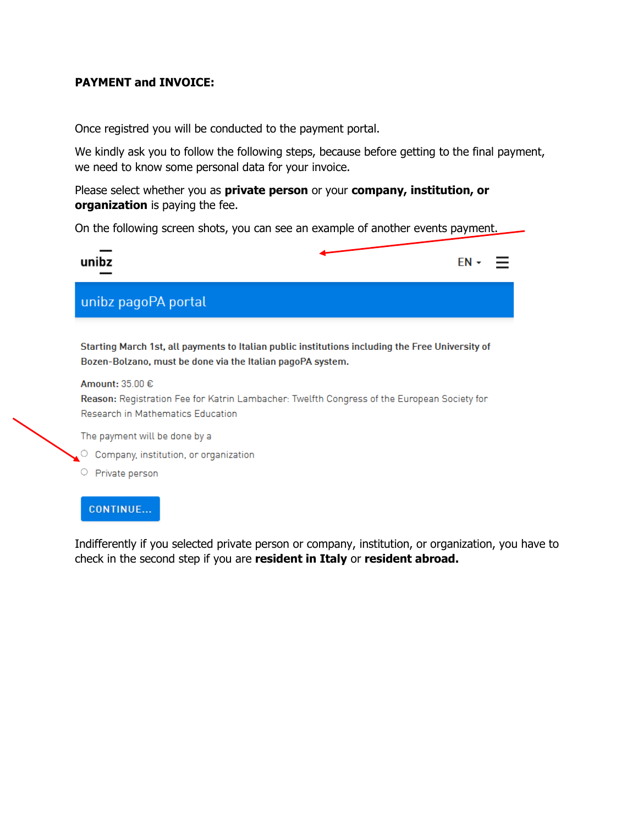### **PAYMENT and INVOICE:**

Once registred you will be conducted to the payment portal.

We kindly ask you to follow the following steps, because before getting to the final payment, we need to know some personal data for your invoice.

Please select whether you as **private person** or your **company, institution, or organization** is paying the fee.

On the following screen shots, you can see an example of another events payment.

| unibz               | $EN -$ |  |
|---------------------|--------|--|
| unibz pagoPA portal |        |  |

Starting March 1st, all payments to Italian public institutions including the Free University of Bozen-Bolzano, must be done via the Italian pagoPA system.

#### Amount: 35.00 €

Reason: Registration Fee for Katrin Lambacher: Twelfth Congress of the European Society for Research in Mathematics Education

The payment will be done by a

- C Company, institution, or organization
- O Private person

#### CONTINUE...

Indifferently if you selected private person or company, institution, or organization, you have to check in the second step if you are **resident in Italy** or **resident abroad.**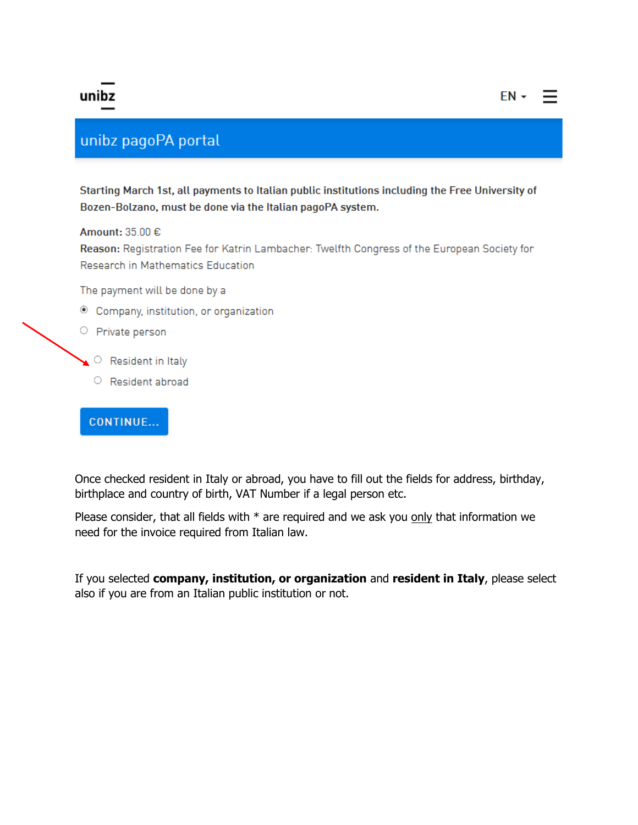# unibz

# unibz pagoPA portal

Starting March 1st, all payments to Italian public institutions including the Free University of Bozen-Bolzano, must be done via the Italian pagoPA system.

 $EN -$ 

### Amount: 35.00 €

Reason: Registration Fee for Katrin Lambacher: Twelfth Congress of the European Society for Research in Mathematics Education

The payment will be done by a

<sup>®</sup> Company, institution, or organization

#### O Private person

- $\triangle$  Resident in Italy
	- Resident abroad

### CONTINUE...

Once checked resident in Italy or abroad, you have to fill out the fields for address, birthday, birthplace and country of birth, VAT Number if a legal person etc.

Please consider, that all fields with  $*$  are required and we ask you only that information we need for the invoice required from Italian law.

If you selected company, institution, or organization and resident in Italy, please select also if you are from an Italian public institution or not.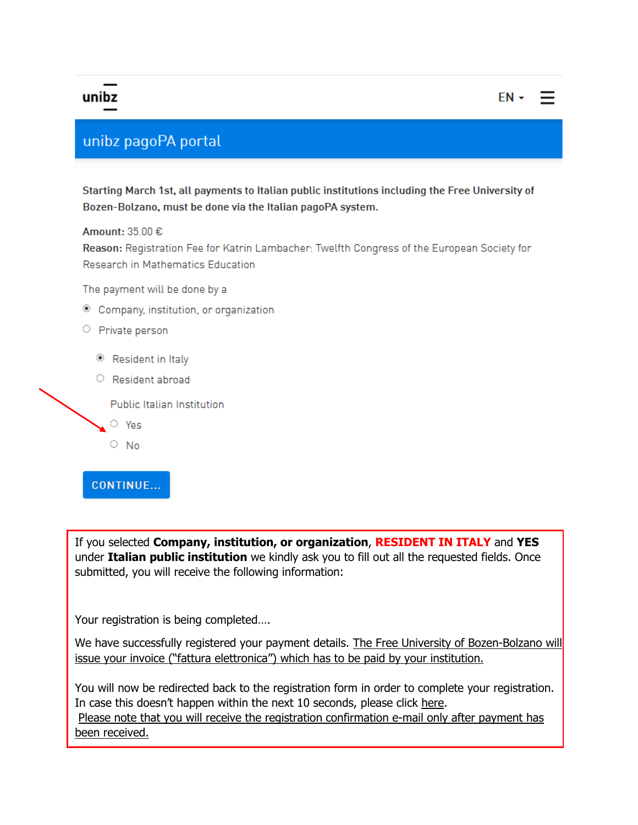### unibz

## unibz pagoPA portal

Starting March 1st, all payments to Italian public institutions including the Free University of Bozen-Bolzano, must be done via the Italian pagoPA system.

Amount:  $3500 \in$ 

Reason: Registration Fee for Katrin Lambacher: Twelfth Congress of the European Society for Research in Mathematics Education

The payment will be done by a

© Company, institution, or organization

### O Private person

- Resident in Italy
- Resident abroad

Public Italian Institution

- $\circ$  Yes
- $\circ$  No

### **CONTINUE...**

If you selected Company, institution, or organization, RESIDENT IN ITALY and YES under Italian public institution we kindly ask you to fill out all the requested fields. Once submitted, you will receive the following information:

Your registration is being completed....

We have successfully registered your payment details. The Free University of Bozen-Bolzano will issue your invoice ("fattura elettronica") which has to be paid by your institution.

You will now be redirected back to the registration form in order to complete your registration. In case this doesn't happen within the next 10 seconds, please click here. Please note that you will receive the registration confirmation e-mail only after payment has been received.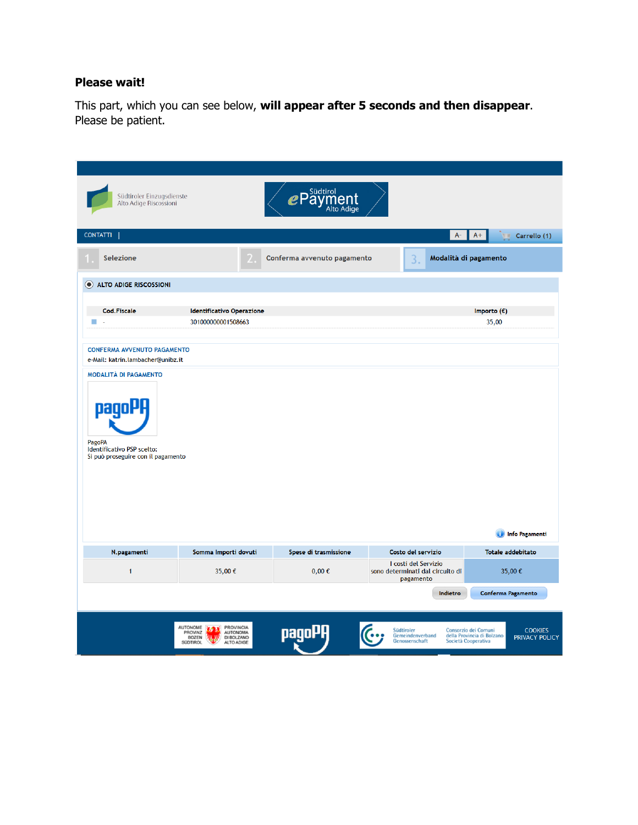### **Please wait!**

This part, which you can see below, **will appear after 5 seconds and then disappear**. Please be patient.

| Südtiroler Einzugsdienste<br>Alto Adige Riscossioni                                 |                                                                                                                                  | Südtirol<br>Alto Adige |                                                                       |                                                                                                               |
|-------------------------------------------------------------------------------------|----------------------------------------------------------------------------------------------------------------------------------|------------------------|-----------------------------------------------------------------------|---------------------------------------------------------------------------------------------------------------|
| <b>CONTATTI</b>                                                                     |                                                                                                                                  |                        | $A-$                                                                  | $A+$<br>Carrello (1)                                                                                          |
| Selezione                                                                           | Modalità di pagamento<br>Conferma avvenuto pagamento<br>3.                                                                       |                        |                                                                       |                                                                                                               |
| ALTO ADIGE RISCOSSIONI                                                              |                                                                                                                                  |                        |                                                                       |                                                                                                               |
| <b>Cod.Fiscale</b>                                                                  | <b>Identificativo Operazione</b>                                                                                                 |                        |                                                                       | Importo $(\epsilon)$                                                                                          |
| n.<br>J.                                                                            | 301000000001508663                                                                                                               |                        |                                                                       | 35,00                                                                                                         |
|                                                                                     |                                                                                                                                  |                        |                                                                       |                                                                                                               |
| <b>CONFERMA AVVENUTO PAGAMENTO</b><br>e-Mail: katrin.lambacher@unibz.it             |                                                                                                                                  |                        |                                                                       |                                                                                                               |
| <b>MODALITÀ DI PAGAMENTO</b>                                                        |                                                                                                                                  |                        |                                                                       |                                                                                                               |
| pagol<br>PagoPA<br>Identificativo PSP scelto:<br>Si può proseguire con il pagamento |                                                                                                                                  |                        |                                                                       | <b>Info Pagamenti</b>                                                                                         |
| N.pagamenti                                                                         | Somma Importi dovuti                                                                                                             | Spese di trasmissione  | Costo del servizio                                                    | <b>Totale addebitato</b>                                                                                      |
| $\mathbf{1}$                                                                        | 35,00€                                                                                                                           | $0,00 \in$             | I costi del Servizio<br>sono determinati dal circuito di<br>pagamento | 35,00€                                                                                                        |
|                                                                                     |                                                                                                                                  |                        | Indietro                                                              | Conferma Pagamento                                                                                            |
|                                                                                     | <b>AUTONOME</b><br><b>PROVINCIA</b><br>IЛ.<br>PROVINZ<br><b>AUTONOMA</b><br><b>BOZEN</b><br>DI BOLZANO<br>SÜDTIROL<br>ALTO ADIGE | naa                    | Südtiroler<br>Gemeindenverband<br>Genossenschaft                      | Consorzio dei Comuni<br><b>COOKIES</b><br>della Provincia di Bolzano<br>PRIVACY POLICY<br>Società Cooperativa |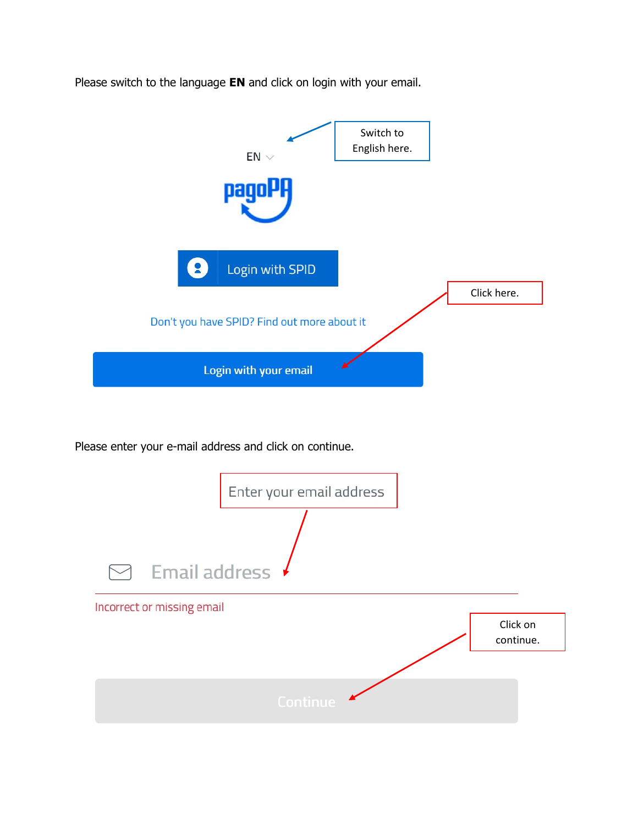Please switch to the language **EN** and click on login with your email.



Please enter your e-mail address and click on continue.

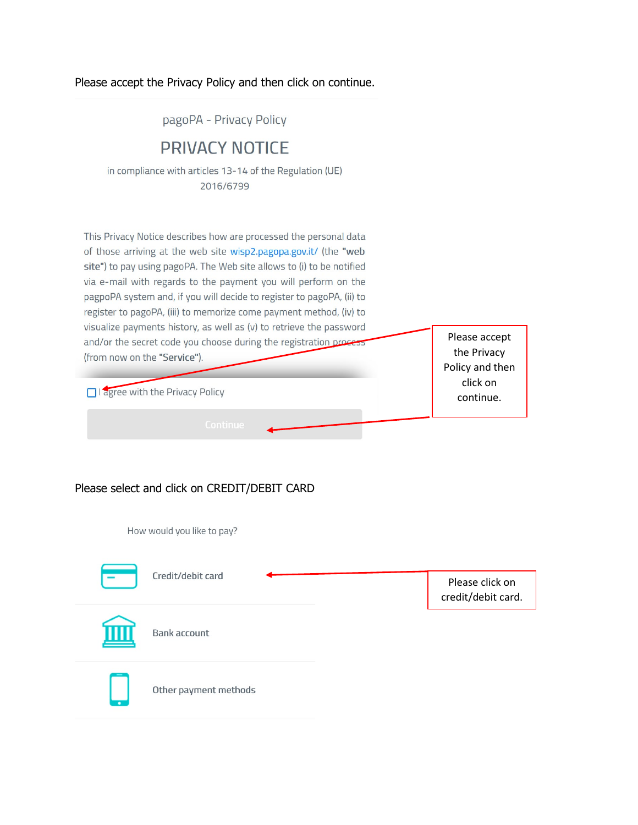### Please accept the Privacy Policy and then click on continue.

pagoPA - Privacy Policy

## **PRIVACY NOTICE**

in compliance with articles 13-14 of the Regulation (UE) 2016/6799

This Privacy Notice describes how are processed the personal data of those arriving at the web site wisp2.pagopa.gov.it/ (the "web site") to pay using pagoPA. The Web site allows to (i) to be notified via e-mail with regards to the payment you will perform on the pagpoPA system and, if you will decide to register to pagoPA, (ii) to register to pagoPA, (iii) to memorize come payment method, (iv) to visualize payments history, as well as (v) to retrieve the password Please accept and/or the secret code you choose during the registration process the Privacy (from now on the "Service"). Policy and then click on I agree with the Privacy Policy continue.

### Please select and click on CREDIT/DEBIT CARD

How would you like to pay?